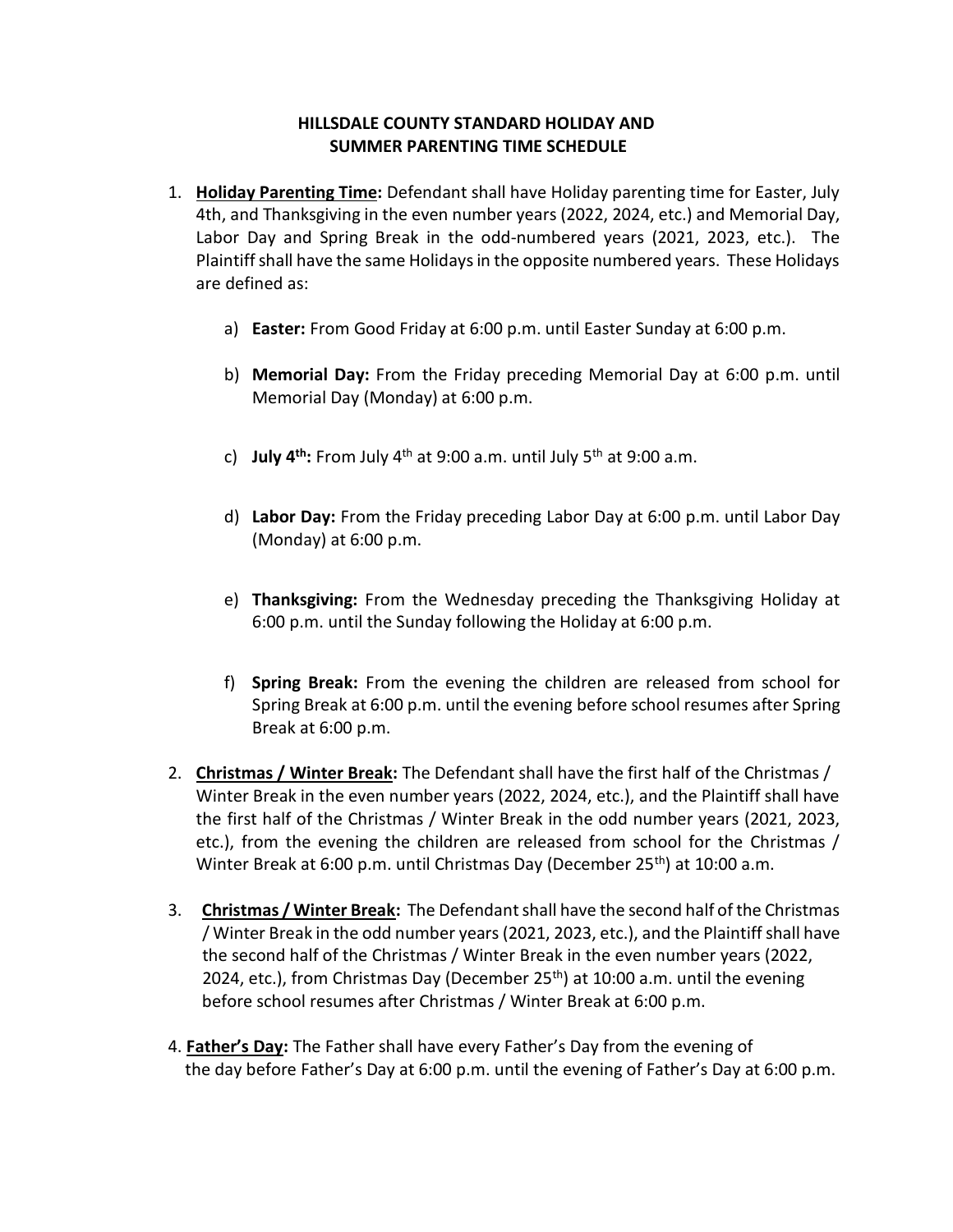## **HILLSDALE COUNTY STANDARD HOLIDAY AND SUMMER PARENTING TIME SCHEDULE**

- 1. **Holiday Parenting Time:** Defendant shall have Holiday parenting time for Easter, July 4th, and Thanksgiving in the even number years (2022, 2024, etc.) and Memorial Day, Labor Day and Spring Break in the odd-numbered years (2021, 2023, etc.). The Plaintiff shall have the same Holidays in the opposite numbered years. These Holidays are defined as:
	- a) **Easter:** From Good Friday at 6:00 p.m. until Easter Sunday at 6:00 p.m.
	- b) **Memorial Day:** From the Friday preceding Memorial Day at 6:00 p.m. until Memorial Day (Monday) at 6:00 p.m.
	- c) **July 4th:** From July 4th at 9:00 a.m. until July 5th at 9:00 a.m.
	- d) **Labor Day:** From the Friday preceding Labor Day at 6:00 p.m. until Labor Day (Monday) at 6:00 p.m.
	- e) **Thanksgiving:** From the Wednesday preceding the Thanksgiving Holiday at 6:00 p.m. until the Sunday following the Holiday at 6:00 p.m.
	- f) **Spring Break:** From the evening the children are released from school for Spring Break at 6:00 p.m. until the evening before school resumes after Spring Break at 6:00 p.m.
- 2. **Christmas / Winter Break:** The Defendant shall have the first half of the Christmas / Winter Break in the even number years (2022, 2024, etc.), and the Plaintiff shall have the first half of the Christmas / Winter Break in the odd number years (2021, 2023, etc.), from the evening the children are released from school for the Christmas / Winter Break at 6:00 p.m. until Christmas Day (December  $25<sup>th</sup>$ ) at 10:00 a.m.
- 3. **Christmas / Winter Break:** The Defendant shall have the second half of the Christmas / Winter Break in the odd number years (2021, 2023, etc.), and the Plaintiff shall have the second half of the Christmas / Winter Break in the even number years (2022, 2024, etc.), from Christmas Day (December 25<sup>th</sup>) at 10:00 a.m. until the evening before school resumes after Christmas / Winter Break at 6:00 p.m.
- 4. **Father's Day:** The Father shall have every Father's Day from the evening of the day before Father's Day at 6:00 p.m. until the evening of Father's Day at 6:00 p.m.